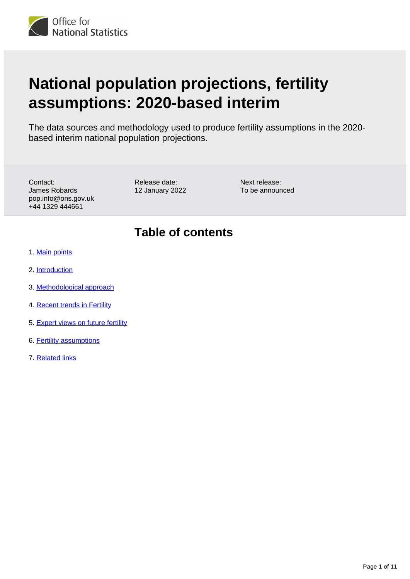

# **National population projections, fertility assumptions: 2020-based interim**

The data sources and methodology used to produce fertility assumptions in the 2020 based interim national population projections.

Contact: James Robards pop.info@ons.gov.uk +44 1329 444661

Release date: 12 January 2022

Next release: To be announced

## **Table of contents**

- 1. [Main points](#page-1-0)
- 2. [Introduction](#page-2-0)
- 3. [Methodological approach](#page-3-0)
- 4. [Recent trends in Fertility](#page-3-1)
- 5. [Expert views on future fertility](#page-5-0)
- 6. [Fertility assumptions](#page-7-0)
- 7. [Related links](#page-10-0)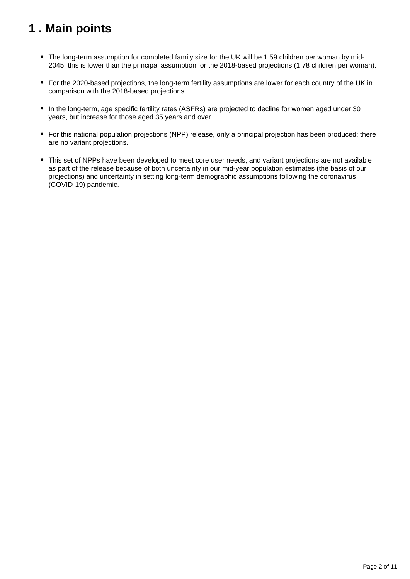## <span id="page-1-0"></span>**1 . Main points**

- The long-term assumption for completed family size for the UK will be 1.59 children per woman by mid-2045; this is lower than the principal assumption for the 2018-based projections (1.78 children per woman).
- For the 2020-based projections, the long-term fertility assumptions are lower for each country of the UK in comparison with the 2018-based projections.
- In the long-term, age specific fertility rates (ASFRs) are projected to decline for women aged under 30 years, but increase for those aged 35 years and over.
- For this national population projections (NPP) release, only a principal projection has been produced; there are no variant projections.
- This set of NPPs have been developed to meet core user needs, and variant projections are not available as part of the release because of both uncertainty in our mid-year population estimates (the basis of our projections) and uncertainty in setting long-term demographic assumptions following the coronavirus (COVID-19) pandemic.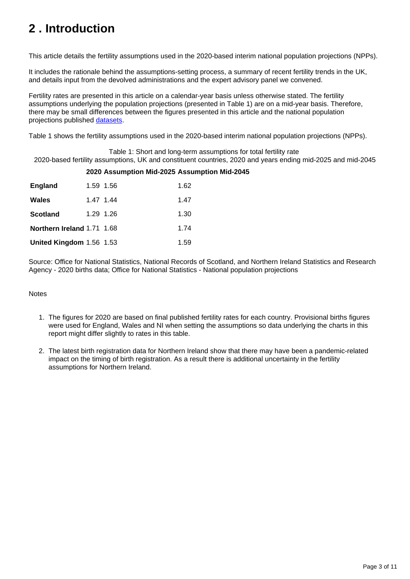## <span id="page-2-0"></span>**2 . Introduction**

This article details the fertility assumptions used in the 2020-based interim national population projections (NPPs).

It includes the rationale behind the assumptions-setting process, a summary of recent fertility trends in the UK, and details input from the devolved administrations and the expert advisory panel we convened.

Fertility rates are presented in this article on a calendar-year basis unless otherwise stated. The fertility assumptions underlying the population projections (presented in Table 1) are on a mid-year basis. Therefore, there may be small differences between the figures presented in this article and the national population projections published [datasets.](https://www.ons.gov.uk/peoplepopulationandcommunity/populationandmigration/populationprojections/datasets/2014basednationalpopulationprojectionstableofcontents)

Table 1 shows the fertility assumptions used in the 2020-based interim national population projections (NPPs).

Table 1: Short and long-term assumptions for total fertility rate 2020-based fertility assumptions, UK and constituent countries, 2020 and years ending mid-2025 and mid-2045

#### **2020 Assumption Mid-2025 Assumption Mid-2045**

| <b>England</b>             | 1.59 1.56 | 1.62 |
|----------------------------|-----------|------|
| Wales                      | 1.47 1.44 | 1.47 |
| Scotland                   | 1.29 1.26 | 1.30 |
| Northern Ireland 1.71 1.68 |           | 1.74 |
| United Kingdom 1.56 1.53   |           | 1.59 |

Source: Office for National Statistics, National Records of Scotland, and Northern Ireland Statistics and Research Agency - 2020 births data; Office for National Statistics - National population projections

Notes

- 1. The figures for 2020 are based on final published fertility rates for each country. Provisional births figures were used for England, Wales and NI when setting the assumptions so data underlying the charts in this report might differ slightly to rates in this table.
- 2. The latest birth registration data for Northern Ireland show that there may have been a pandemic-related impact on the timing of birth registration. As a result there is additional uncertainty in the fertility assumptions for Northern Ireland.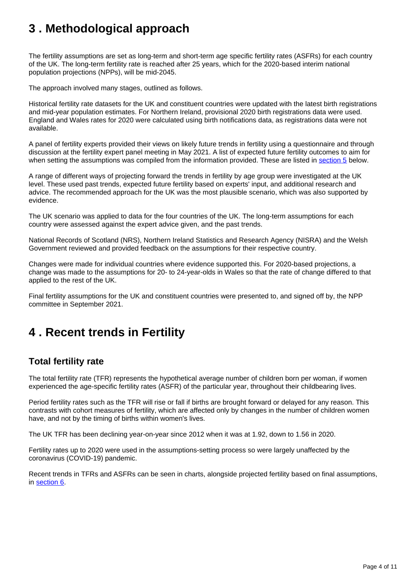## <span id="page-3-0"></span>**3 . Methodological approach**

The fertility assumptions are set as long-term and short-term age specific fertility rates (ASFRs) for each country of the UK. The long-term fertility rate is reached after 25 years, which for the 2020-based interim national population projections (NPPs), will be mid-2045.

The approach involved many stages, outlined as follows.

Historical fertility rate datasets for the UK and constituent countries were updated with the latest birth registrations and mid-year population estimates. For Northern Ireland, provisional 2020 birth registrations data were used. England and Wales rates for 2020 were calculated using birth notifications data, as registrations data were not available.

A panel of fertility experts provided their views on likely future trends in fertility using a questionnaire and through discussion at the fertility expert panel meeting in May 2021. A list of expected future fertility outcomes to aim for when setting the assumptions was compiled from the information provided. These are listed in [section 5](https://www.ons.gov.uk/peoplepopulationandcommunity/populationandmigration/populationprojections/methodologies/nationalpopulationprojectionsfertilityassumptions2020basedinterim#expert-views-on-future-fertility) below.

A range of different ways of projecting forward the trends in fertility by age group were investigated at the UK level. These used past trends, expected future fertility based on experts' input, and additional research and advice. The recommended approach for the UK was the most plausible scenario, which was also supported by evidence.

The UK scenario was applied to data for the four countries of the UK. The long-term assumptions for each country were assessed against the expert advice given, and the past trends.

National Records of Scotland (NRS), Northern Ireland Statistics and Research Agency (NISRA) and the Welsh Government reviewed and provided feedback on the assumptions for their respective country.

Changes were made for individual countries where evidence supported this. For 2020-based projections, a change was made to the assumptions for 20- to 24-year-olds in Wales so that the rate of change differed to that applied to the rest of the UK.

Final fertility assumptions for the UK and constituent countries were presented to, and signed off by, the NPP committee in September 2021.

## <span id="page-3-1"></span>**4 . Recent trends in Fertility**

### **Total fertility rate**

The total fertility rate (TFR) represents the hypothetical average number of children born per woman, if women experienced the age-specific fertility rates (ASFR) of the particular year, throughout their childbearing lives.

Period fertility rates such as the TFR will rise or fall if births are brought forward or delayed for any reason. This contrasts with cohort measures of fertility, which are affected only by changes in the number of children women have, and not by the timing of births within women's lives.

The UK TFR has been declining year-on-year since 2012 when it was at 1.92, down to 1.56 in 2020.

Fertility rates up to 2020 were used in the assumptions-setting process so were largely unaffected by the coronavirus (COVID-19) pandemic.

Recent trends in TFRs and ASFRs can be seen in charts, alongside projected fertility based on final assumptions, in [section 6](https://www.ons.gov.uk/peoplepopulationandcommunity/populationandmigration/populationprojections/methodologies/nationalpopulationprojectionsfertilityassumptions2020basedinterim#fertility-assumptions).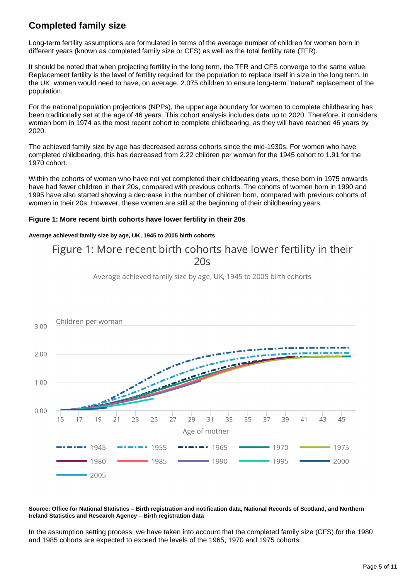### **Completed family size**

Long-term fertility assumptions are formulated in terms of the average number of children for women born in different years (known as completed family size or CFS) as well as the total fertility rate (TFR).

It should be noted that when projecting fertility in the long term, the TFR and CFS converge to the same value. Replacement fertility is the level of fertility required for the population to replace itself in size in the long term. In the UK, women would need to have, on average, 2.075 children to ensure long-term "natural" replacement of the population.

For the national population projections (NPPs), the upper age boundary for women to complete childbearing has been traditionally set at the age of 46 years. This cohort analysis includes data up to 2020. Therefore, it considers women born in 1974 as the most recent cohort to complete childbearing, as they will have reached 46 years by 2020.

The achieved family size by age has decreased across cohorts since the mid-1930s. For women who have completed childbearing, this has decreased from 2.22 children per woman for the 1945 cohort to 1.91 for the 1970 cohort.

Within the cohorts of women who have not yet completed their childbearing years, those born in 1975 onwards have had fewer children in their 20s, compared with previous cohorts. The cohorts of women born in 1990 and 1995 have also started showing a decrease in the number of children born, compared with previous cohorts of women in their 20s. However, these women are still at the beginning of their childbearing years.

#### **Figure 1: More recent birth cohorts have lower fertility in their 20s**

#### **Average achieved family size by age, UK, 1945 to 2005 birth cohorts**

### Figure 1: More recent birth cohorts have lower fertility in their  $20s$

Average achieved family size by age, UK, 1945 to 2005 birth cohorts



#### **Source: Office for National Statistics – Birth registration and notification data, National Records of Scotland, and Northern Ireland Statistics and Research Agency – Birth registration data**

In the assumption setting process, we have taken into account that the completed family size (CFS) for the 1980 and 1985 cohorts are expected to exceed the levels of the 1965, 1970 and 1975 cohorts.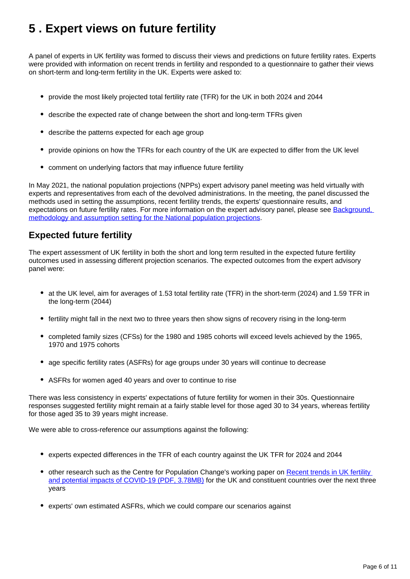## <span id="page-5-0"></span>**5 . Expert views on future fertility**

A panel of experts in UK fertility was formed to discuss their views and predictions on future fertility rates. Experts were provided with information on recent trends in fertility and responded to a questionnaire to gather their views on short-term and long-term fertility in the UK. Experts were asked to:

- provide the most likely projected total fertility rate (TFR) for the UK in both 2024 and 2044
- describe the expected rate of change between the short and long-term TFRs given
- describe the patterns expected for each age group
- provide opinions on how the TFRs for each country of the UK are expected to differ from the UK level
- comment on underlying factors that may influence future fertility

In May 2021, the national population projections (NPPs) expert advisory panel meeting was held virtually with experts and representatives from each of the devolved administrations. In the meeting, the panel discussed the methods used in setting the assumptions, recent fertility trends, the experts' questionnaire results, and expectations on future fertility rates. For more information on the expert advisory panel, please see Background, [methodology and assumption setting for the National population projections](http://www.ons.gov.uk/peoplepopulationandcommunity/populationandmigration/populationprojections/methodologies/nationalpopulationprojectionsbackgroundmethodologyandassumptionsetting2020basedinterim).

### **Expected future fertility**

The expert assessment of UK fertility in both the short and long term resulted in the expected future fertility outcomes used in assessing different projection scenarios. The expected outcomes from the expert advisory panel were:

- at the UK level, aim for averages of 1.53 total fertility rate (TFR) in the short-term (2024) and 1.59 TFR in the long-term (2044)
- fertility might fall in the next two to three years then show signs of recovery rising in the long-term
- completed family sizes (CFSs) for the 1980 and 1985 cohorts will exceed levels achieved by the 1965, 1970 and 1975 cohorts
- age specific fertility rates (ASFRs) for age groups under 30 years will continue to decrease
- ASFRs for women aged 40 years and over to continue to rise

There was less consistency in experts' expectations of future fertility for women in their 30s. Questionnaire responses suggested fertility might remain at a fairly stable level for those aged 30 to 34 years, whereas fertility for those aged 35 to 39 years might increase.

We were able to cross-reference our assumptions against the following:

- experts expected differences in the TFR of each country against the UK TFR for 2024 and 2044
- other research such as the Centre for Population Change's working paper on Recent trends in UK fertility [and potential impacts of COVID-19 \(PDF, 3.78MB\)](http://fertilitytrends.wp.st-andrews.ac.uk/files/2021/03/WP_95_Recent_trends_in_UK_fertility.pdf) for the UK and constituent countries over the next three years
- experts' own estimated ASFRs, which we could compare our scenarios against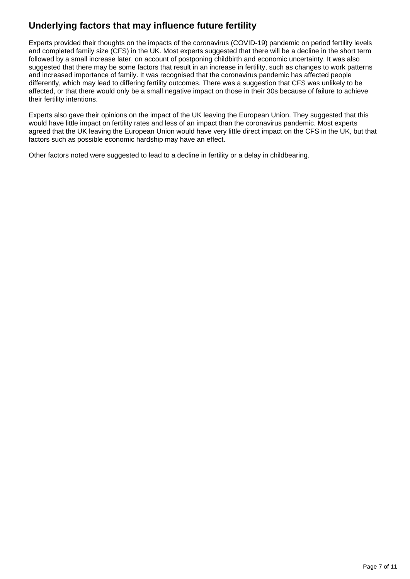### **Underlying factors that may influence future fertility**

Experts provided their thoughts on the impacts of the coronavirus (COVID-19) pandemic on period fertility levels and completed family size (CFS) in the UK. Most experts suggested that there will be a decline in the short term followed by a small increase later, on account of postponing childbirth and economic uncertainty. It was also suggested that there may be some factors that result in an increase in fertility, such as changes to work patterns and increased importance of family. It was recognised that the coronavirus pandemic has affected people differently, which may lead to differing fertility outcomes. There was a suggestion that CFS was unlikely to be affected, or that there would only be a small negative impact on those in their 30s because of failure to achieve their fertility intentions.

Experts also gave their opinions on the impact of the UK leaving the European Union. They suggested that this would have little impact on fertility rates and less of an impact than the coronavirus pandemic. Most experts agreed that the UK leaving the European Union would have very little direct impact on the CFS in the UK, but that factors such as possible economic hardship may have an effect.

Other factors noted were suggested to lead to a decline in fertility or a delay in childbearing.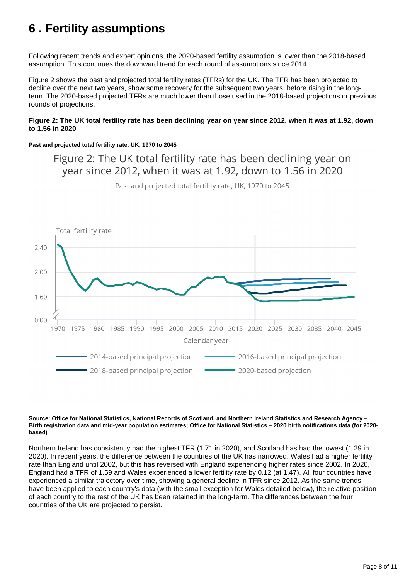## <span id="page-7-0"></span>**6 . Fertility assumptions**

Following recent trends and expert opinions, the 2020-based fertility assumption is lower than the 2018-based assumption. This continues the downward trend for each round of assumptions since 2014.

Figure 2 shows the past and projected total fertility rates (TFRs) for the UK. The TFR has been projected to decline over the next two years, show some recovery for the subsequent two years, before rising in the longterm. The 2020-based projected TFRs are much lower than those used in the 2018-based projections or previous rounds of projections.

#### **Figure 2: The UK total fertility rate has been declining year on year since 2012, when it was at 1.92, down to 1.56 in 2020**

#### **Past and projected total fertility rate, UK, 1970 to 2045**

Figure 2: The UK total fertility rate has been declining year on year since 2012, when it was at 1.92, down to 1.56 in 2020



Past and projected total fertility rate, UK, 1970 to 2045

#### **Source: Office for National Statistics, National Records of Scotland, and Northern Ireland Statistics and Research Agency – Birth registration data and mid-year population estimates; Office for National Statistics – 2020 birth notifications data (for 2020 based)**

Northern Ireland has consistently had the highest TFR (1.71 in 2020), and Scotland has had the lowest (1.29 in 2020). In recent years, the difference between the countries of the UK has narrowed. Wales had a higher fertility rate than England until 2002, but this has reversed with England experiencing higher rates since 2002. In 2020, England had a TFR of 1.59 and Wales experienced a lower fertility rate by 0.12 (at 1.47). All four countries have experienced a similar trajectory over time, showing a general decline in TFR since 2012. As the same trends have been applied to each country's data (with the small exception for Wales detailed below), the relative position of each country to the rest of the UK has been retained in the long-term. The differences between the four countries of the UK are projected to persist.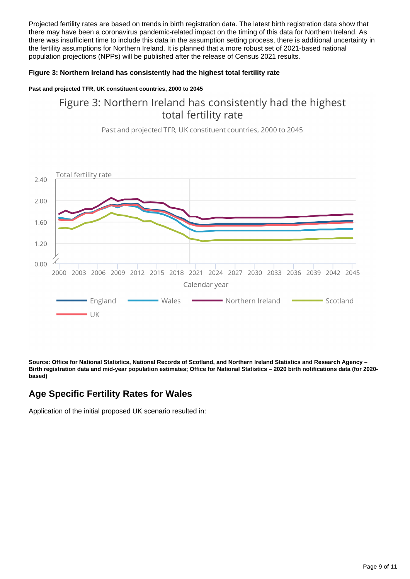Projected fertility rates are based on trends in birth registration data. The latest birth registration data show that there may have been a coronavirus pandemic-related impact on the timing of this data for Northern Ireland. As there was insufficient time to include this data in the assumption setting process, there is additional uncertainty in the fertility assumptions for Northern Ireland. It is planned that a more robust set of 2021-based national population projections (NPPs) will be published after the release of Census 2021 results.

#### **Figure 3: Northern Ireland has consistently had the highest total fertility rate**

#### **Past and projected TFR, UK constituent countries, 2000 to 2045**

### Figure 3: Northern Ireland has consistently had the highest total fertility rate

Past and projected TFR, UK constituent countries, 2000 to 2045



**Source: Office for National Statistics, National Records of Scotland, and Northern Ireland Statistics and Research Agency – Birth registration data and mid-year population estimates; Office for National Statistics – 2020 birth notifications data (for 2020 based)**

### **Age Specific Fertility Rates for Wales**

Application of the initial proposed UK scenario resulted in: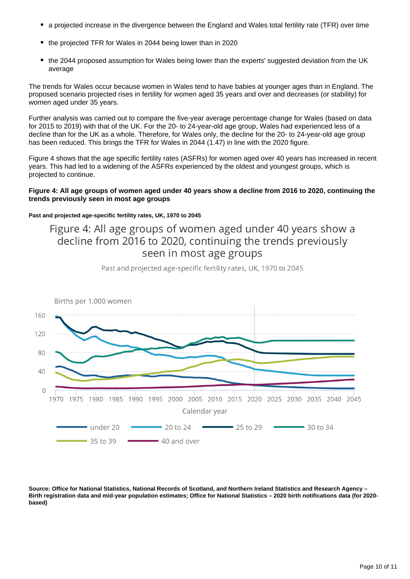- a projected increase in the divergence between the England and Wales total fertility rate (TFR) over time
- the projected TFR for Wales in 2044 being lower than in 2020
- the 2044 proposed assumption for Wales being lower than the experts' suggested deviation from the UK average

The trends for Wales occur because women in Wales tend to have babies at younger ages than in England. The proposed scenario projected rises in fertility for women aged 35 years and over and decreases (or stability) for women aged under 35 years.

Further analysis was carried out to compare the five-year average percentage change for Wales (based on data for 2015 to 2019) with that of the UK. For the 20- to 24-year-old age group, Wales had experienced less of a decline than for the UK as a whole. Therefore, for Wales only, the decline for the 20- to 24-year-old age group has been reduced. This brings the TFR for Wales in 2044 (1.47) in line with the 2020 figure.

Figure 4 shows that the age specific fertility rates (ASFRs) for women aged over 40 years has increased in recent years. This had led to a widening of the ASFRs experienced by the oldest and youngest groups, which is projected to continue.

#### **Figure 4: All age groups of women aged under 40 years show a decline from 2016 to 2020, continuing the trends previously seen in most age groups**

#### **Past and projected age-specific fertility rates, UK, 1970 to 2045**

### Figure 4: All age groups of women aged under 40 years show a decline from 2016 to 2020, continuing the trends previously seen in most age groups



Past and projected age-specific fertility rates, UK, 1970 to 2045

**Source: Office for National Statistics, National Records of Scotland, and Northern Ireland Statistics and Research Agency – Birth registration data and mid-year population estimates; Office for National Statistics – 2020 birth notifications data (for 2020 based)**